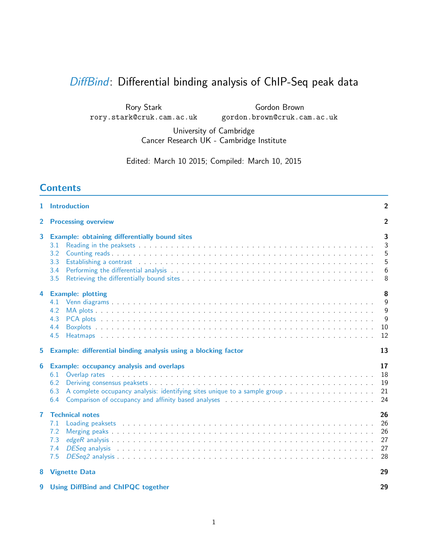# [DiffBind](http://bioconductor.org/packages/release/bioc/html/DiffBind.html): Differential binding analysis of ChIP-Seq peak data

Rory Stark rory.stark@cruk.cam.ac.uk

Gordon Brown gordon.brown@cruk.cam.ac.uk

University of Cambridge Cancer Research UK - Cambridge Institute

Edited: March 10 2015; Compiled: March 10, 2015

## **Contents**

|              | 1 Introduction                                                                                                                                                                                                                                                                                                                                                                                                                                                                                                                | $\overline{2}$                   |
|--------------|-------------------------------------------------------------------------------------------------------------------------------------------------------------------------------------------------------------------------------------------------------------------------------------------------------------------------------------------------------------------------------------------------------------------------------------------------------------------------------------------------------------------------------|----------------------------------|
| $\mathbf{2}$ | <b>Processing overview</b>                                                                                                                                                                                                                                                                                                                                                                                                                                                                                                    | $\mathbf{2}$                     |
| 3            | <b>Example: obtaining differentially bound sites</b><br>3.1<br>3.2<br>3.3<br>Establishing a contrast entertainment of the state of the state of the state of the state of the state of the state of the state of the state of the state of the state of the state of the state of the state of the state of<br>3.4<br>3.5                                                                                                                                                                                                     | 3<br>3<br>5<br>5<br>$6\,$<br>8   |
| 4            | <b>Example: plotting</b><br>4.1<br>4.2<br>4.3<br>4.4<br>4.5                                                                                                                                                                                                                                                                                                                                                                                                                                                                   | 8<br>9<br>9<br>9<br>10<br>12     |
| 5            | Example: differential binding analysis using a blocking factor                                                                                                                                                                                                                                                                                                                                                                                                                                                                | 13                               |
| 6            | <b>Example: occupancy analysis and overlaps</b><br>6.1<br>6.2<br>6.3<br>6.4                                                                                                                                                                                                                                                                                                                                                                                                                                                   | 17<br>18<br>19<br>21<br>24       |
| 7            | <b>Technical notes</b><br>Loading peaksets entertainment is not all the contract that is a set of the contract the contract of the contract of the contract of the contract of the contract of the contract of the contract of the contract of the contr<br>7.1<br>7.2<br>7.3<br>7.4<br>DESeq analysis enterpreteration of the contract of the contract of the contract of the contract of the contract of the contract of the contract of the contract of the contract of the contract of the contract of the contrac<br>7.5 | 26<br>26<br>26<br>27<br>27<br>28 |
| 8            | <b>Vignette Data</b>                                                                                                                                                                                                                                                                                                                                                                                                                                                                                                          | 29                               |
| 9            | <b>Using DiffBind and ChIPQC together</b>                                                                                                                                                                                                                                                                                                                                                                                                                                                                                     | 29                               |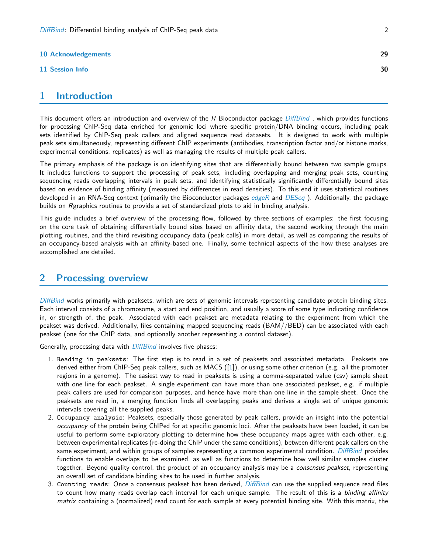#### **[10 Acknowledgements](#page-28-2)** 29

#### [11 Session Info](#page-29-0) 30

| ٦ |
|---|
|   |

## <span id="page-1-0"></span>1 Introduction

This document offers an introduction and overview of the R Bioconductor package [DiffBind](http://bioconductor.org/packages/release/bioc/html/DiffBind.html), which provides functions for processing ChIP-Seq data enriched for genomic loci where specific protein/DNA binding occurs, including peak sets identified by ChIP-Seq peak callers and aligned sequence read datasets. It is designed to work with multiple peak sets simultaneously, representing different ChIP experiments (antibodies, transcription factor and/or histone marks, experimental conditions, replicates) as well as managing the results of multiple peak callers.

The primary emphasis of the package is on identifying sites that are differentially bound between two sample groups. It includes functions to support the processing of peak sets, including overlapping and merging peak sets, counting sequencing reads overlapping intervals in peak sets, and identifying statistically significantly differentially bound sites based on evidence of binding affinity (measured by differences in read densities). To this end it uses statistical routines developed in an RNA-Seq context (primarily the Bioconductor packages *[edgeR](http://bioconductor.org/packages/release/bioc/html/edgeR.html)* and *[DESeq](http://bioconductor.org/packages/release/bioc/html/DESeq.html)*). Additionally, the package builds on Rgraphics routines to provide a set of standardized plots to aid in binding analysis.

This guide includes a brief overview of the processing flow, followed by three sections of examples: the first focusing on the core task of obtaining differentially bound sites based on affinity data, the second working through the main plotting routines, and the third revisiting occupancy data (peak calls) in more detail, as well as comparing the results of an occupancy-based analysis with an affinity-based one. Finally, some technical aspects of the how these analyses are accomplished are detailed.

## <span id="page-1-1"></span>2 Processing overview

[DiffBind](http://bioconductor.org/packages/release/bioc/html/DiffBind.html) works primarily with peaksets, which are sets of genomic intervals representing candidate protein binding sites. Each interval consists of a chromosome, a start and end position, and usually a score of some type indicating confidence in, or strength of, the peak. Associated with each peakset are metadata relating to the experiment from which the peakset was derived. Additionally, files containing mapped sequencing reads (BAM//BED) can be associated with each peakset (one for the ChIP data, and optionally another representing a control dataset).

Generally, processing data with [DiffBind](http://bioconductor.org/packages/release/bioc/html/DiffBind.html) involves five phases:

- 1. Reading in peaksets: The first step is to read in a set of peaksets and associated metadata. Peaksets are derived either from ChIP-Seq peak callers, such as MACS ([\[1\]](#page-29-1)), or using some other criterion (e.g. all the promoter regions in a genome). The easiest way to read in peaksets is using a comma-separated value (csv) sample sheet with one line for each peakset. A single experiment can have more than one associated peakset, e.g. if multiple peak callers are used for comparison purposes, and hence have more than one line in the sample sheet. Once the peaksets are read in, a merging function finds all overlapping peaks and derives a single set of unique genomic intervals covering all the supplied peaks.
- 2. Occupancy analysis: Peaksets, especially those generated by peak callers, provide an insight into the potential occupancy of the protein being ChIPed for at specific genomic loci. After the peaksets have been loaded, it can be useful to perform some exploratory plotting to determine how these occupancy maps agree with each other, e.g. between experimental replicates (re-doing the ChIP under the same conditions), between different peak callers on the same experiment, and within groups of samples representing a common experimental condition. *[DiffBind](http://bioconductor.org/packages/release/bioc/html/DiffBind.html)* provides functions to enable overlaps to be examined, as well as functions to determine how well similar samples cluster together. Beyond quality control, the product of an occupancy analysis may be a *consensus peakset*, representing an overall set of candidate binding sites to be used in further analysis.
- 3. Counting reads: Once a consensus peakset has been derived, *[DiffBind](http://bioconductor.org/packages/release/bioc/html/DiffBind.html)* can use the supplied sequence read files to count how many reads overlap each interval for each unique sample. The result of this is a binding affinity matrix containing a (normalized) read count for each sample at every potential binding site. With this matrix, the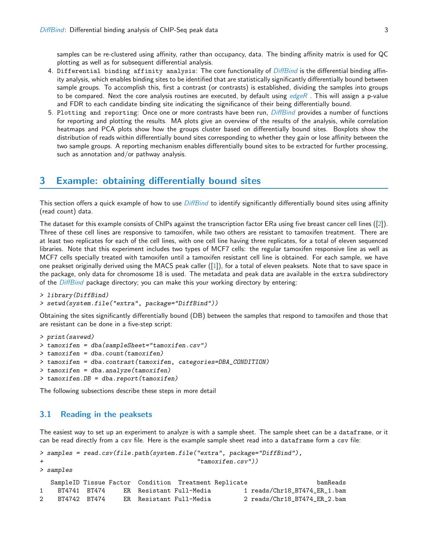samples can be re-clustered using affinity, rather than occupancy, data. The binding affinity matrix is used for QC plotting as well as for subsequent differential analysis.

- 4. Differential binding affinity analysis: The core functionality of *[DiffBind](http://bioconductor.org/packages/release/bioc/html/DiffBind.html)* is the differential binding affinity analysis, which enables binding sites to be identified that are statistically significantly differentially bound between sample groups. To accomplish this, first a contrast (or contrasts) is established, dividing the samples into groups to be compared. Next the core analysis routines are executed, by default using  $edge R$ . This will assign a p-value and FDR to each candidate binding site indicating the significance of their being differentially bound.
- 5. Plotting and reporting: Once one or more contrasts have been run, *[DiffBind](http://bioconductor.org/packages/release/bioc/html/DiffBind.html)* provides a number of functions for reporting and plotting the results. MA plots give an overview of the results of the analysis, while correlation heatmaps and PCA plots show how the groups cluster based on differentially bound sites. Boxplots show the distribution of reads within differentially bound sites corresponding to whether they gain or lose affinity between the two sample groups. A reporting mechanism enables differentially bound sites to be extracted for further processing, such as annotation and/or pathway analysis.

## <span id="page-2-0"></span>3 Example: obtaining differentially bound sites

This section offers a quick example of how to use [DiffBind](http://bioconductor.org/packages/release/bioc/html/DiffBind.html) to identify significantly differentially bound sites using affinity (read count) data.

The dataset for this example consists of ChIPs against the transcription factor ERa using five breast cancer cell lines ([\[2\]](#page-29-2)). Three of these cell lines are responsive to tamoxifen, while two others are resistant to tamoxifen treatment. There are at least two replicates for each of the cell lines, with one cell line having three replicates, for a total of eleven sequenced libraries. Note that this experiment includes two types of MCF7 cells: the regular tamoxifen responsive line as well as MCF7 cells specially treated with tamoxifen until a tamoxifen resistant cell line is obtained. For each sample, we have one peakset originally derived using the MACS peak caller ([\[1\]](#page-29-1)), for a total of eleven peaksets. Note that to save space in the package, only data for chromosome 18 is used. The metadata and peak data are available in the extra subdirectory of the [DiffBind](http://bioconductor.org/packages/release/bioc/html/DiffBind.html) package directory; you can make this your working directory by entering:

```
> library(DiffBind)
```
> setwd(system.file("extra", package="DiffBind"))

Obtaining the sites significantly differentially bound (DB) between the samples that respond to tamoxifen and those that are resistant can be done in a five-step script:

```
> print(savewd)
> tamoxifen = dba(sampleSheet="tamoxifen.csv")
> tamoxifen = dba.count(tamoxifen)
> tamoxifen = dba.contrast(tamoxifen, categories=DBA_CONDITION)
> tamoxifen = dba.analyze(tamoxifen)
> tamoxifen.DB = dba.report(tamoxifen)
```
The following subsections describe these steps in more detail

### <span id="page-2-1"></span>3.1 Reading in the peaksets

The easiest way to set up an experiment to analyze is with a sample sheet. The sample sheet can be a dataframe, or it can be read directly from a csv file. Here is the example sample sheet read into a dataframe form a csv file:

```
> samples = read.csv(file.path(system.file("extra", package="DiffBind"),
+ "tamoxifen.csv"))
> samples
  SampleID Tissue Factor Condition Treatment Replicate bamReads
1 BT4741 BT474 ER Resistant Full-Media 1 reads/Chr18_BT474_ER_1.bam
2 BT4742 BT474 ER Resistant Full-Media 2 reads/Chr18_BT474_ER_2.bam
```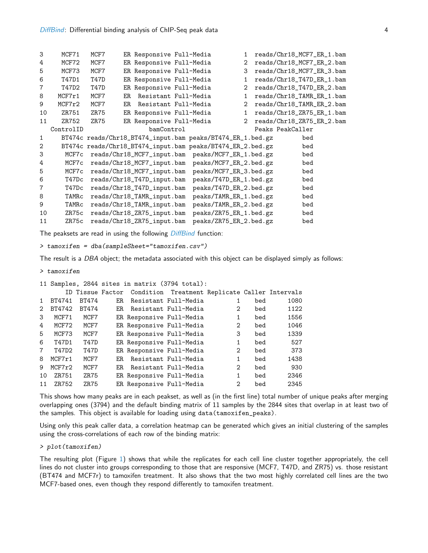| 3              | MCF71     | MCF7 |    | ER Responsive Full-Media   |                                                            | 1.             | reads/Chr18_MCF7_ER_1.bam |  |
|----------------|-----------|------|----|----------------------------|------------------------------------------------------------|----------------|---------------------------|--|
| 4              | MCF72     | MCF7 |    | ER Responsive Full-Media   |                                                            | 2              | reads/Chr18_MCF7_ER_2.bam |  |
| 5              | MCF73     | MCF7 |    | ER Responsive Full-Media   |                                                            | 3              | reads/Chr18_MCF7_ER_3.bam |  |
| 6              | T47D1     | T47D |    | ER Responsive Full-Media   |                                                            | 1              | reads/Chr18_T47D_ER_1.bam |  |
| 7              | T47D2     | T47D |    | ER Responsive Full-Media   |                                                            | $\overline{2}$ | reads/Chr18_T47D_ER_2.bam |  |
| 8              | MCF7r1    | MCF7 | ER | Resistant Full-Media       |                                                            | 1              | reads/Chr18_TAMR_ER_1.bam |  |
| 9              | MCF7r2    | MCF7 | ER | Resistant Full-Media       |                                                            | $\overline{2}$ | reads/Chr18_TAMR_ER_2.bam |  |
| 10             | ZR751     | ZR75 |    | ER Responsive Full-Media   |                                                            | 1              | reads/Chr18_ZR75_ER_1.bam |  |
| 11             | ZR752     | ZR75 |    | ER Responsive Full-Media   |                                                            | $\overline{2}$ | reads/Chr18_ZR75_ER_2.bam |  |
|                | ControlID |      |    | bamControl                 |                                                            |                | Peaks PeakCaller          |  |
| $\mathbf{1}$   |           |      |    |                            | BT474c reads/Chr18_BT474_input.bam peaks/BT474_ER_1.bed.gz |                | bed                       |  |
| $\overline{2}$ |           |      |    |                            | BT474c reads/Chr18_BT474_input.bam peaks/BT474_ER_2.bed.gz |                | bed                       |  |
| 3              | MCF7c     |      |    |                            | reads/Chr18_MCF7_input.bam peaks/MCF7_ER_1.bed.gz          |                | bed                       |  |
| 4              | MCF7c     |      |    | reads/Chr18_MCF7_input.bam | peaks/MCF7_ER_2.bed.gz                                     |                | bed                       |  |
| 5              | MCF7c     |      |    | reads/Chr18_MCF7_input.bam | peaks/MCF7_ER_3.bed.gz                                     |                | bed                       |  |
| 6              | T47Dc     |      |    | reads/Chr18_T47D_input.bam | peaks/T47D_ER_1.bed.gz                                     |                | bed                       |  |
| $\overline{7}$ | T47Dc     |      |    | reads/Chr18_T47D_input.bam | peaks/T47D_ER_2.bed.gz                                     |                | bed                       |  |
| 8              | TAMRC     |      |    | reads/Chr18_TAMR_input.bam | peaks/TAMR_ER_1.bed.gz                                     |                | bed                       |  |
| 9              | TAMRC     |      |    | reads/Chr18_TAMR_input.bam | peaks/TAMR_ER_2.bed.gz                                     |                | bed                       |  |
| 10             | ZR75c     |      |    | reads/Chr18_ZR75_input.bam | peaks/ZR75_ER_1.bed.gz                                     |                | bed                       |  |
| 11             | ZR75c     |      |    | reads/Chr18_ZR75_input.bam | peaks/ZR75_ER_2.bed.gz                                     |                | bed                       |  |

The peaksets are read in using the following *[DiffBind](http://bioconductor.org/packages/release/bioc/html/DiffBind.html)* function:

> tamoxifen = dba(sampleSheet="tamoxifen.csv")

The result is a DBA object; the metadata associated with this object can be displayed simply as follows:

```
> tamoxifen
```

|             |        |              |     |                          | 11 Samples, 2844 sites in matrix (3794 total):                  |                   |     |      |
|-------------|--------|--------------|-----|--------------------------|-----------------------------------------------------------------|-------------------|-----|------|
|             |        |              |     |                          | ID Tissue Factor Condition Treatment Replicate Caller Intervals |                   |     |      |
|             | BT4741 | <b>BT474</b> | ER. |                          | Resistant Full-Media                                            |                   | bed | 1080 |
| 2           | BT4742 | BT474        | ER. |                          | Resistant Full-Media                                            | 2                 | bed | 1122 |
| 3           | MCF71  | MCF7         |     | ER Responsive Full-Media |                                                                 | 1                 | bed | 1556 |
| 4           | MCF72  | MCF7         |     | ER Responsive Full-Media |                                                                 | 2                 | bed | 1046 |
| 5           | MCF73  | MCF7         |     | ER Responsive Full-Media |                                                                 | 3                 | bed | 1339 |
| 6           | T47D1  | T47D         |     | ER Responsive Full-Media |                                                                 | 1                 | bed | 527  |
| $7^{\circ}$ | T47D2  | <b>T47D</b>  |     | ER Responsive Full-Media |                                                                 | 2                 | bed | 373  |
| 8           | MCF7r1 | MCF7         | ER. |                          | Resistant Full-Media                                            | 1                 | bed | 1438 |
| 9           | MCF7r2 | MCF7         | ER. |                          | Resistant Full-Media                                            | 2                 | bed | 930  |
| 10          | ZR751  | ZR75         |     | ER Responsive Full-Media |                                                                 | 1                 | bed | 2346 |
| 11          | ZR752  | ZR75         |     | ER Responsive Full-Media |                                                                 | $\mathcal{D}_{1}$ | bed | 2345 |

This shows how many peaks are in each peakset, as well as (in the first line) total number of unique peaks after merging overlapping ones (3794) and the default binding matrix of 11 samples by the 2844 sites that overlap in at least two of the samples. This object is available for loading using data(tamoxifen\_peaks).

Using only this peak caller data, a correlation heatmap can be generated which gives an initial clustering of the samples using the cross-correlations of each row of the binding matrix:

> plot(tamoxifen)

The resulting plot (Figure [1\)](#page-4-2) shows that while the replicates for each cell line cluster together appropriately, the cell lines do not cluster into groups corresponding to those that are responsive (MCF7, T47D, and ZR75) vs. those resistant (BT474 and MCF7r) to tamoxifen treatment. It also shows that the two most highly correlated cell lines are the two MCF7-based ones, even though they respond differently to tamoxifen treatment.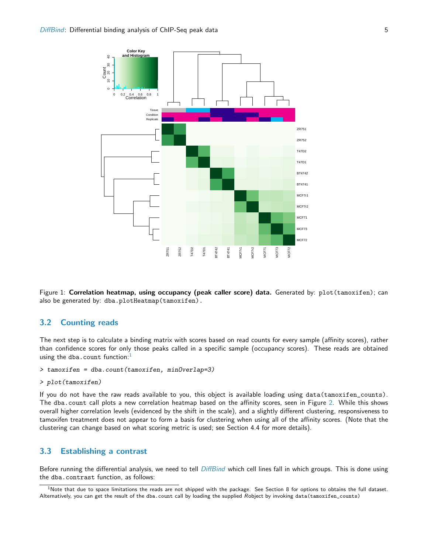

<span id="page-4-2"></span>Figure 1: Correlation heatmap, using occupancy (peak caller score) data. Generated by: plot (tamoxifen); can also be generated by: dba.plotHeatmap(tamoxifen).

## <span id="page-4-0"></span>3.2 Counting reads

The next step is to calculate a binding matrix with scores based on read counts for every sample (affinity scores), rather than confidence scores for only those peaks called in a specific sample (occupancy scores). These reads are obtained using the dba.count function: $<sup>1</sup>$  $<sup>1</sup>$  $<sup>1</sup>$ </sup>

```
> tamoxifen = dba.count(tamoxifen, minOverlap=3)
```

```
> plot(tamoxifen)
```
If you do not have the raw reads available to you, this object is available loading using data(tamoxifen\_counts). The dba.count call plots a new correlation heatmap based on the affinity scores, seen in Figure [2.](#page-5-1) While this shows overall higher correlation levels (evidenced by the shift in the scale), and a slightly different clustering, responsiveness to tamoxifen treatment does not appear to form a basis for clustering when using all of the affinity scores. (Note that the clustering can change based on what scoring metric is used; see Section 4.4 for more details).

### <span id="page-4-1"></span>3.3 Establishing a contrast

Before running the differential analysis, we need to tell *[DiffBind](http://bioconductor.org/packages/release/bioc/html/DiffBind.html)* which cell lines fall in which groups. This is done using the dba.contrast function, as follows:

<span id="page-4-3"></span> $1$ Note that due to space limitations the reads are not shipped with the package. See Section 8 for options to obtains the full dataset. Alternatively, you can get the result of the dba.count call by loading the supplied Robject by invoking data(tamoxifen\_counts)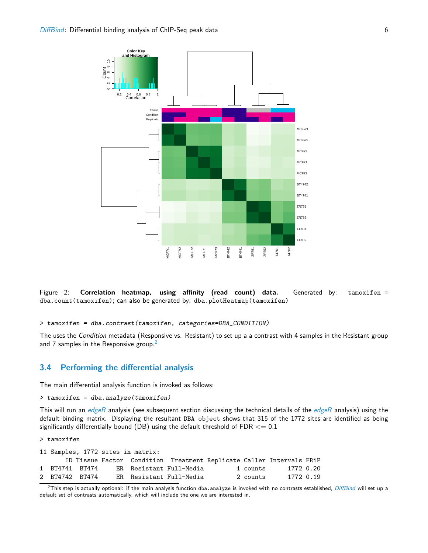



```
> tamoxifen = dba.contrast(tamoxifen, categories=DBA_CONDITION)
```
The uses the Condition metadata (Responsive vs. Resistant) to set up a a contrast with 4 samples in the Resistant group and 7 samples in the Responsive group.<sup>[2](#page-5-2)</sup>

### <span id="page-5-0"></span>3.4 Performing the differential analysis

The main differential analysis function is invoked as follows:

```
> tamoxifen = dba.analyze(tamoxifen)
```
This will run an [edgeR](http://bioconductor.org/packages/release/bioc/html/edgeR.html) analysis (see subsequent section discussing the technical details of the edgeR analysis) using the default binding matrix. Displaying the resultant DBA object shows that 315 of the 1772 sites are identified as being significantly differentially bound (DB) using the default threshold of FDR  $<= 0.1$ 

> tamoxifen

|                |  | 11 Samples, 1772 sites in matrix: |                                                                      |          |           |  |
|----------------|--|-----------------------------------|----------------------------------------------------------------------|----------|-----------|--|
|                |  |                                   | ID Tissue Factor Condition Treatment Replicate Caller Intervals FRiP |          |           |  |
| 1 BT4741 BT474 |  |                                   | ER Resistant Full-Media                                              | 1 counts | 1772 0.20 |  |
| 2 BT4742 BT474 |  |                                   | ER Resistant Full-Media                                              | 2 counts | 1772 0.19 |  |

<span id="page-5-2"></span> $2$ This step is actually optional: if the main analysis function dba.analyze is invoked with no contrasts established, [DiffBind](http://bioconductor.org/packages/release/bioc/html/DiffBind.html) will set up a default set of contrasts automatically, which will include the one we are interested in.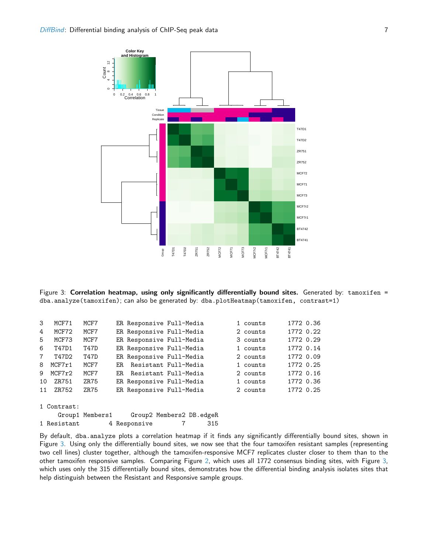

<span id="page-6-1"></span>Figure 3: Correlation heatmap, using only significantly differentially bound sites. Generated by: tamoxifen = dba.analyze(tamoxifen); can also be generated by: dba.plotHeatmap(tamoxifen, contrast=1)

| 3           | MCF71       | MCF7            |      | ER Responsive Full-Media |                          | 1 counts | 1772 0.36 |  |
|-------------|-------------|-----------------|------|--------------------------|--------------------------|----------|-----------|--|
| 4           | MCF72       | MCF7            |      |                          | ER Responsive Full-Media | 2 counts | 1772 0.22 |  |
| 5.          | MCF73       | MCF7            |      |                          | ER Responsive Full-Media | 3 counts | 1772 0.29 |  |
| 6           | T47D1       | T47D            |      |                          | ER Responsive Full-Media | 1 counts | 1772 0.14 |  |
| $7^{\circ}$ | T47D2       | T47D            |      |                          | ER Responsive Full-Media | 2 counts | 1772 0.09 |  |
| 8           | MCF7r1      | MCF7            | F.R. |                          | Resistant Full-Media     | 1 counts | 1772 0.25 |  |
| 9           | MCF7r2      | MCF7            | ER.  |                          | Resistant Full-Media     | 2 counts | 1772 0.16 |  |
| 10          | ZR751       | ZR75            |      |                          | ER Responsive Full-Media | 1 counts | 1772 0.36 |  |
| 11          | ZR752       | ZR75            |      |                          | ER Responsive Full-Media | 2 counts | 1772 0.25 |  |
|             |             |                 |      |                          |                          |          |           |  |
|             | 1 Contrast: |                 |      |                          |                          |          |           |  |
|             |             | Group1 Members1 |      |                          | Group2 Members2 DB.edgeR |          |           |  |

1 Resistant 4 Responsive 7 315

<span id="page-6-0"></span>By default, dba.analyze plots a correlation heatmap if it finds any significantly differentially bound sites, shown in Figure [3.](#page-6-1) Using only the differentially bound sites, we now see that the four tamoxifen resistant samples (representing two cell lines) cluster together, although the tamoxifen-responsive MCF7 replicates cluster closer to them than to the other tamoxifen responsive samples. Comparing Figure [2,](#page-5-1) which uses all 1772 consensus binding sites, with Figure [3,](#page-6-1) which uses only the 315 differentially bound sites, demonstrates how the differential binding analysis isolates sites that help distinguish between the Resistant and Responsive sample groups.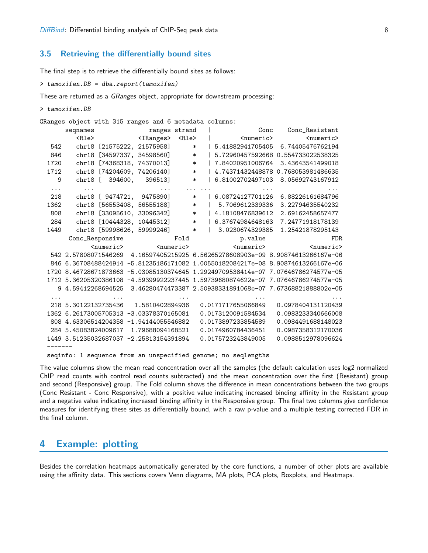### 3.5 Retrieving the differentially bound sites

The final step is to retrieve the differentially bound sites as follows:

```
> tamoxifen.DB = dba.report(tamoxifen)
```
These are returned as a GRanges object, appropriate for downstream processing:

```
> tamoxifen.DB
```
GRanges object with 315 ranges and 6 metadata columns:

|          | seqnames                                                                          | ranges strand              |                     |                          |        |              |                     | Conc |                                                            | Conc_Resistant      |  |
|----------|-----------------------------------------------------------------------------------|----------------------------|---------------------|--------------------------|--------|--------------|---------------------|------|------------------------------------------------------------|---------------------|--|
|          | Rle                                                                               |                            | <iranges></iranges> | R                        |        |              | <numeric></numeric> |      |                                                            | <numeric></numeric> |  |
| 542      | chr18                                                                             | [21575222, 21575958]       |                     |                          | $\ast$ |              | 5.41882941705405    |      |                                                            | 6.74405476762194    |  |
| 846      | chr18                                                                             | [34597337, 34598560]       |                     |                          | $\ast$ |              |                     |      | 5.72960457592668 0.554733022538325                         |                     |  |
| 1720     | chr18                                                                             | [74368318, 74370013]       |                     |                          | $\ast$ |              | 7.84020951006764    |      |                                                            | 3.43643541499018    |  |
| 1712     |                                                                                   | chr18 [74204609, 74206140] |                     |                          | $\ast$ |              |                     |      | 4.74371432448878 0.768053981486635                         |                     |  |
| 9        |                                                                                   | chr18 [ 394600, 396513]    |                     |                          | $\ast$ |              | 6.81002702497103    |      |                                                            | 8.05692743167912    |  |
| $\cdots$ |                                                                                   |                            |                     |                          |        |              |                     |      |                                                            |                     |  |
| 218      |                                                                                   | chr18 [ 9474721, 9475890]  |                     |                          | $\ast$ |              | 6.08724127701126    |      |                                                            | 6.88226161684796    |  |
| 1362     |                                                                                   | chr18 [56553408, 56555188] |                     |                          | $\ast$ |              | 5.7069612339336     |      |                                                            | 3.22794635540232    |  |
| 808      |                                                                                   | chr18 [33095610, 33096342] |                     | $\overline{\phantom{a}}$ |        |              | 4.18108476839612    |      |                                                            | 2.69162458657477    |  |
| 284      |                                                                                   | chr18 [10444328, 10445312] |                     |                          | $\ast$ |              | 6.37674984648163    |      |                                                            | 7.24771918178139    |  |
| 1449     |                                                                                   | chr18 [59998626, 59999246] |                     |                          | $\ast$ | $\mathbf{L}$ | 3.0230674329385     |      |                                                            | 1.25421878295143    |  |
|          |                                                                                   | Conc_Responsive            |                     | Fold                     |        |              | p.value             |      |                                                            | FDR.                |  |
|          |                                                                                   | <numeric></numeric>        | <numeric></numeric> |                          |        |              | <numeric></numeric> |      |                                                            | <numeric></numeric> |  |
|          | 542 2.57808071546269 4.16597405215925 6.56265278608903e-09 8.90874613266167e-06   |                            |                     |                          |        |              |                     |      |                                                            |                     |  |
|          | 846 6.36708488424914 -5.81235186171082 1.00550182084217e-08 8.90874613266167e-06  |                            |                     |                          |        |              |                     |      |                                                            |                     |  |
|          | 1720 8.46728671873663 -5.03085130374645 1.29249709538414e-07 7.07646786274577e-05 |                            |                     |                          |        |              |                     |      |                                                            |                     |  |
|          | 1712 5.36205320386108 -4.59399922237445 1.59739680874622e-07 7.07646786274577e-05 |                            |                     |                          |        |              |                     |      |                                                            |                     |  |
|          | 9 4.59412268694525                                                                |                            |                     |                          |        |              |                     |      | 3.46280474473387 2.50938331891068e-07 7.67368821888802e-05 |                     |  |
|          |                                                                                   |                            |                     |                          |        |              |                     |      |                                                            |                     |  |
|          | 218 5.30122132735436 1.5810402894936                                              |                            |                     |                          |        |              | 0.0171717655066849  |      |                                                            | 0.0978404131120439  |  |
|          | 1362 6.26173005705313 -3.03378370165081                                           |                            |                     |                          |        |              | 0.0173120091584534  |      |                                                            | 0.0983233340666008  |  |
|          | 808 4.63306514204358 -1.94144055546882                                            |                            |                     |                          |        |              | 0.0173897233854589  |      |                                                            | 0.0984491688148023  |  |
|          | 284 5.45083824009617                                                              |                            | 1.79688094168521    |                          |        |              | 0.0174960784436451  |      |                                                            | 0.0987358312170036  |  |
|          | 1449 3.51235032687037 -2.25813154391894                                           |                            |                     |                          |        |              | 0.0175723243849005  |      |                                                            | 0.0988512978096624  |  |
|          |                                                                                   |                            |                     |                          |        |              |                     |      |                                                            |                     |  |
|          |                                                                                   |                            |                     |                          |        |              |                     |      |                                                            |                     |  |

seqinfo: 1 sequence from an unspecified genome; no seqlengths

The value columns show the mean read concentration over all the samples (the default calculation uses log2 normalized ChIP read counts with control read counts subtracted) and the mean concentration over the first (Resistant) group and second (Responsive) group. The Fold column shows the difference in mean concentrations between the two groups (Conc Resistant - Conc Responsive), with a positive value indicating increased binding affinity in the Resistant group and a negative value indicating increased binding affinity in the Responsive group. The final two columns give confidence measures for identifying these sites as differentially bound, with a raw p-value and a multiple testing corrected FDR in the final column.

## <span id="page-7-0"></span>4 Example: plotting

<span id="page-7-1"></span>Besides the correlation heatmaps automatically generated by the core functions, a number of other plots are available using the affinity data. This sections covers Venn diagrams, MA plots, PCA plots, Boxplots, and Heatmaps.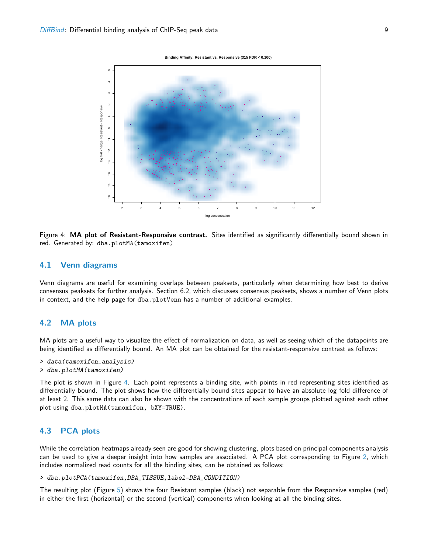

 **Binding Affinity: Resistant vs. Responsive (315 FDR < 0.100)**

<span id="page-8-2"></span>Figure 4: MA plot of Resistant-Responsive contrast. Sites identified as significantly differentially bound shown in red. Generated by: dba.plotMA(tamoxifen)

#### 4.1 Venn diagrams

Venn diagrams are useful for examining overlaps between peaksets, particularly when determining how best to derive consensus peaksets for further analysis. Section 6.2, which discusses consensus peaksets, shows a number of Venn plots in context, and the help page for dba.plotVenn has a number of additional examples.

## <span id="page-8-0"></span>4.2 MA plots

MA plots are a useful way to visualize the effect of normalization on data, as well as seeing which of the datapoints are being identified as differentially bound. An MA plot can be obtained for the resistant-responsive contrast as follows:

> data(tamoxifen\_analysis) > dba.plotMA(tamoxifen)

The plot is shown in Figure [4.](#page-8-2) Each point represents a binding site, with points in red representing sites identified as differentially bound. The plot shows how the differentially bound sites appear to have an absolute log fold difference of at least 2. This same data can also be shown with the concentrations of each sample groups plotted against each other plot using dba.plotMA(tamoxifen, bXY=TRUE).

## <span id="page-8-1"></span>4.3 PCA plots

While the correlation heatmaps already seen are good for showing clustering, plots based on principal components analysis can be used to give a deeper insight into how samples are associated. A PCA plot corresponding to Figure [2,](#page-5-1) which includes normalized read counts for all the binding sites, can be obtained as follows:

> dba.plotPCA(tamoxifen,DBA\_TISSUE,label=DBA\_CONDITION)

The resulting plot (Figure [5\)](#page-9-1) shows the four Resistant samples (black) not separable from the Responsive samples (red) in either the first (horizontal) or the second (vertical) components when looking at all the binding sites.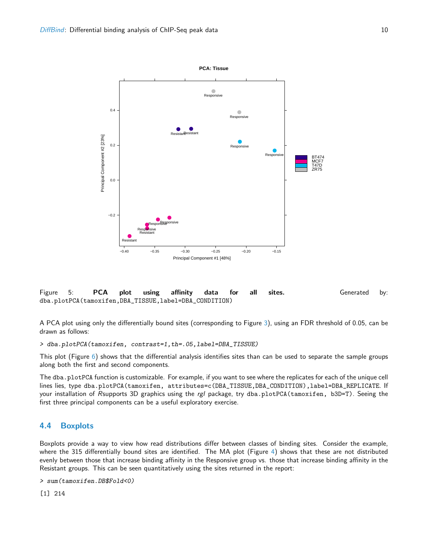

<span id="page-9-1"></span>Figure 5: PCA plot using affinity data for all sites. Generated by: dba.plotPCA(tamoxifen,DBA\_TISSUE,label=DBA\_CONDITION)

A PCA plot using only the differentially bound sites (corresponding to Figure [3\)](#page-6-1), using an FDR threshold of 0.05, can be drawn as follows:

> dba.plotPCA(tamoxifen, contrast=1,th=.05,label=DBA\_TISSUE)

This plot (Figure  $6$ ) shows that the differential analysis identifies sites than can be used to separate the sample groups along both the first and second components.

The dba.plotPCA function is customizable. For example, if you want to see where the replicates for each of the unique cell lines lies, type dba.plotPCA(tamoxifen, attributes=c(DBA\_TISSUE,DBA\_CONDITION),label=DBA\_REPLICATE. If your installation of Rsupports 3D graphics using the rgl package, try dba.plotPCA(tamoxifen, b3D=T). Seeing the first three principal components can be a useful exploratory exercise.

### <span id="page-9-0"></span>4.4 Boxplots

Boxplots provide a way to view how read distributions differ between classes of binding sites. Consider the example, where the 315 differentially bound sites are identified. The MA plot (Figure [4\)](#page-8-2) shows that these are not distributed evenly between those that increase binding affinity in the Responsive group vs. those that increase binding affinity in the Resistant groups. This can be seen quantitatively using the sites returned in the report:

```
> sum(tamoxifen.DB$Fold<0)
```
[1] 214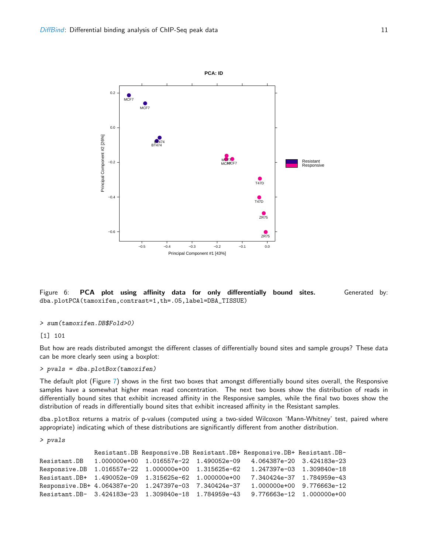

<span id="page-10-0"></span>Figure 6: **PCA plot using affinity data for only differentially bound sites.** Generated by: dba.plotPCA(tamoxifen,contrast=1,th=.05,label=DBA\_TISSUE)

#### > sum(tamoxifen.DB\$Fold>0)

[1] 101

But how are reads distributed amongst the different classes of differentially bound sites and sample groups? These data can be more clearly seen using a boxplot:

#### > pvals = dba.plotBox(tamoxifen)

The default plot (Figure [7\)](#page-11-1) shows in the first two boxes that amongst differentially bound sites overall, the Responsive samples have a somewhat higher mean read concentration. The next two boxes show the distribution of reads in differentially bound sites that exhibit increased affinity in the Responsive samples, while the final two boxes show the distribution of reads in differentially bound sites that exhibit increased affinity in the Resistant samples.

dba.plotBox returns a matrix of p-values (computed using a two-sided Wilcoxon 'Mann-Whitney' test, paired where appropriate) indicating which of these distributions are significantly different from another distribution.

> pvals

```
Resistant.DB Responsive.DB Resistant.DB+ Responsive.DB+ Resistant.DB-
Resistant.DB 1.000000e+00 1.016557e-22 1.490052e-09 4.064387e-20 3.424183e-23
Responsive.DB 1.016557e-22 1.000000e+00 1.315625e-62 1.247397e-03 1.309840e-18
Resistant.DB+ 1.490052e-09 1.315625e-62 1.000000e+00 7.340424e-37 1.784959e-43
Responsive.DB+ 4.064387e-20 1.247397e-03 7.340424e-37 1.000000e+00 9.776663e-12
Resistant.DB- 3.424183e-23 1.309840e-18 1.784959e-43 9.776663e-12 1.000000e+00
```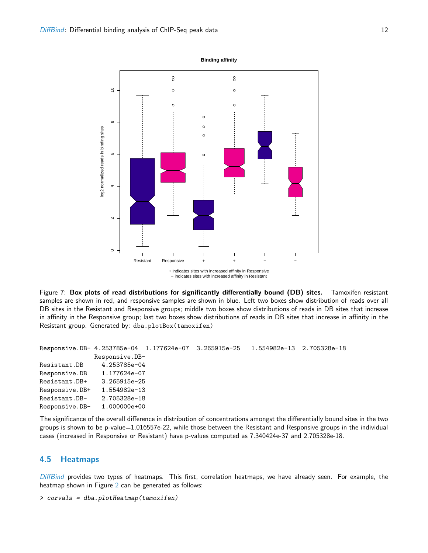log2 normalized reads in binding sites

log2 normalized reads in binding sites



− indicates sites with increased affinity in Resistant

<span id="page-11-1"></span>Figure 7: Box plots of read distributions for significantly differentially bound (DB) sites. Tamoxifen resistant samples are shown in red, and responsive samples are shown in blue. Left two boxes show distribution of reads over all DB sites in the Resistant and Responsive groups; middle two boxes show distributions of reads in DB sites that increase in affinity in the Responsive group; last two boxes show distributions of reads in DB sites that increase in affinity in the Resistant group. Generated by: dba.plotBox(tamoxifen)

```
Responsive.DB- 4.253785e-04 1.177624e-07 3.265915e-25 1.554982e-13 2.705328e-18
              Responsive.DB-
Resistant.DB 4.253785e-04
Responsive.DB 1.177624e-07
Resistant.DB+ 3.265915e-25
Responsive.DB+ 1.554982e-13
Resistant.DB- 2.705328e-18
Responsive.DB- 1.000000e+00
```
The significance of the overall difference in distribution of concentrations amongst the differentially bound sites in the two groups is shown to be p-value=1.016557e-22, while those between the Resistant and Responsive groups in the individual cases (increased in Responsive or Resistant) have p-values computed as 7.340424e-37 and 2.705328e-18.

### <span id="page-11-0"></span>4.5 Heatmaps

[DiffBind](http://bioconductor.org/packages/release/bioc/html/DiffBind.html) provides two types of heatmaps. This first, correlation heatmaps, we have already seen. For example, the heatmap shown in Figure [2](#page-5-1) can be generated as follows:

> corvals = dba.plotHeatmap(tamoxifen)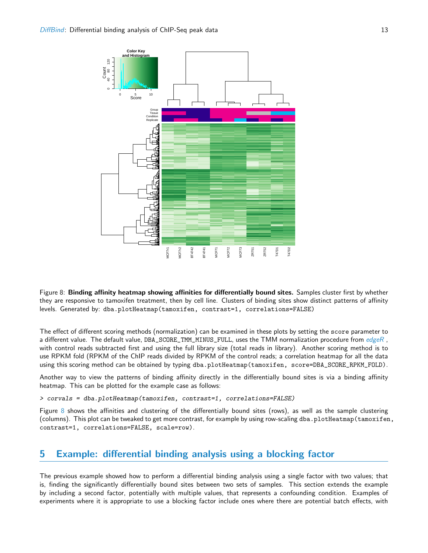

<span id="page-12-1"></span>Figure 8: Binding affinity heatmap showing affinities for differentially bound sites. Samples cluster first by whether they are responsive to tamoxifen treatment, then by cell line. Clusters of binding sites show distinct patterns of affinity levels. Generated by: dba.plotHeatmap(tamoxifen, contrast=1, correlations=FALSE)

The effect of different scoring methods (normalization) can be examined in these plots by setting the score parameter to a different value. The default value, DBA\_SCORE\_TMM\_MINUS\_FULL, uses the TMM normalization procedure from [edgeR](http://bioconductor.org/packages/release/bioc/html/edgeR.html), with control reads subtracted first and using the full library size (total reads in library). Another scoring method is to use RPKM fold (RPKM of the ChIP reads divided by RPKM of the control reads; a correlation heatmap for all the data using this scoring method can be obtained by typing dba.plotHeatmap(tamoxifen, score=DBA\_SCORE\_RPKM\_FOLD).

Another way to view the patterns of binding affinity directly in the differentially bound sites is via a binding affinity heatmap. This can be plotted for the example case as follows:

> corvals = dba.plotHeatmap(tamoxifen, contrast=1, correlations=FALSE)

Figure [8](#page-12-1) shows the affinities and clustering of the differentially bound sites (rows), as well as the sample clustering (columns). This plot can be tweaked to get more contrast, for example by using row-scaling dba.plotHeatmap(tamoxifen, contrast=1, correlations=FALSE, scale=row).

## <span id="page-12-0"></span>5 Example: differential binding analysis using a blocking factor

The previous example showed how to perform a differential binding analysis using a single factor with two values; that is, finding the significantly differentially bound sites between two sets of samples. This section extends the example by including a second factor, potentially with multiple values, that represents a confounding condition. Examples of experiments where it is appropriate to use a blocking factor include ones where there are potential batch effects, with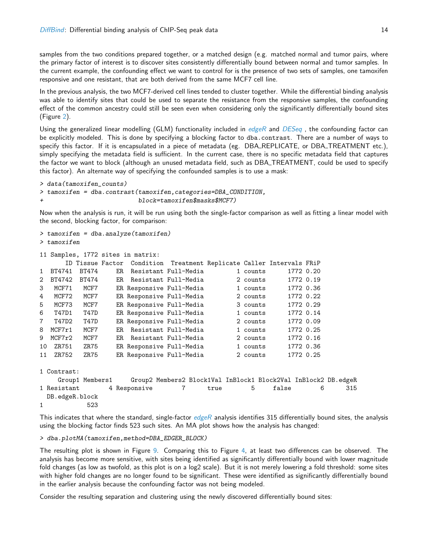samples from the two conditions prepared together, or a matched design (e.g. matched normal and tumor pairs, where the primary factor of interest is to discover sites consistently differentially bound between normal and tumor samples. In the current example, the confounding effect we want to control for is the presence of two sets of samples, one tamoxifen responsive and one resistant, that are both derived from the same MCF7 cell line.

In the previous analysis, the two MCF7-derived cell lines tended to cluster together. While the differential binding analysis was able to identify sites that could be used to separate the resistance from the responsive samples, the confounding effect of the common ancestry could still be seen even when considering only the significantly differentially bound sites (Figure [2\)](#page-5-1).

Using the generalized linear modelling (GLM) functionality included in [edgeR](http://bioconductor.org/packages/release/bioc/html/edgeR.html) and [DESeq](http://bioconductor.org/packages/release/bioc/html/DESeq.html), the confounding factor can be explicitly modeled. This is done by specifying a blocking factor to dba.contrast. There are a number of ways to specify this factor. If it is encapsulated in a piece of metadata (eg. DBA\_REPLICATE, or DBA\_TREATMENT etc.), simply specifying the metadata field is sufficient. In the current case, there is no specific metadata field that captures the factor we want to block (although an unused metadata field, such as DBA\_TREATMENT, could be used to specify this factor). An alternate way of specifying the confounded samples is to use a mask:

```
> data(tamoxifen_counts)
> tamoxifen = dba.contrast(tamoxifen,categories=DBA_CONDITION,
+ block=tamoxifen$masks$MCF7)
```
Now when the analysis is run, it will be run using both the single-factor comparison as well as fitting a linear model with the second, blocking factor, for comparison:

```
> tamoxifen = dba.analyze(tamoxifen)
> tamoxifen
11 Samples, 1772 sites in matrix:
     ID Tissue Factor Condition Treatment Replicate Caller Intervals FRiP
1 BT4741 BT474 ER Resistant Full-Media 1 counts 1772 0.20
2 BT4742 BT474 ER Resistant Full-Media 2 counts 1772 0.19
3 MCF71 MCF7 ER Responsive Full-Media 1 counts 1772 0.36
4 MCF72 MCF7 ER Responsive Full-Media 2 counts 1772 0.22
5 MCF73 MCF7 ER Responsive Full-Media 3 counts 1772 0.29
6 T47D1 T47D ER Responsive Full-Media 1 counts 1772 0.14
7 T47D2 T47D ER Responsive Full-Media 2 counts 1772 0.09
8 MCF7r1 MCF7 ER Resistant Full-Media 1 counts 1772 0.25
9 MCF7r2 MCF7 ER Resistant Full-Media 2 counts 1772 0.16
10 ZR751 ZR75 ER Responsive Full-Media 1 counts 1772 0.36
11 ZR752 ZR75 ER Responsive Full-Media 2 counts 1772 0.25
1 Contrast:
   Group1 Members1 Group2 Members2 Block1Val InBlock1 Block2Val InBlock2 DB.edgeR
1 Resistant 1 4 Responsive 7 1 true 1 5 false 6 315
 DB.edgeR.block
1 523
```
This indicates that where the standard, single-factor  $edge$  analysis identifies 315 differentially bound sites, the analysis using the blocking factor finds 523 such sites. An MA plot shows how the analysis has changed:

> dba.plotMA(tamoxifen,method=DBA\_EDGER\_BLOCK)

The resulting plot is shown in Figure [9.](#page-14-0) Comparing this to Figure [4,](#page-8-2) at least two differences can be observed. The analysis has become more sensitive, with sites being identified as significantly differentially bound with lower magnitude fold changes (as low as twofold, as this plot is on a log2 scale). But it is not merely lowering a fold threshold: some sites with higher fold changes are no longer found to be significant. These were identified as significantly differentially bound in the earlier analysis because the confounding factor was not being modeled.

Consider the resulting separation and clustering using the newly discovered differentially bound sites: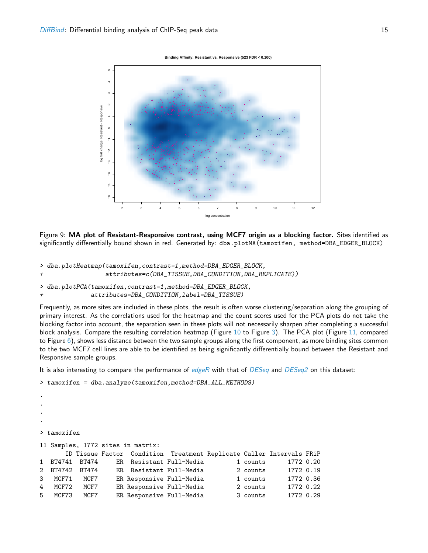

<span id="page-14-0"></span>Figure 9: MA plot of Resistant-Responsive contrast, using MCF7 origin as a blocking factor. Sites identified as significantly differentially bound shown in red. Generated by: dba.plotMA(tamoxifen, method=DBA\_EDGER\_BLOCK)

> dba.plotHeatmap(tamoxifen,contrast=1,method=DBA\_EDGER\_BLOCK,

+ attributes=c(DBA\_TISSUE,DBA\_CONDITION,DBA\_REPLICATE))

> dba.plotPCA(tamoxifen,contrast=1,method=DBA\_EDGER\_BLOCK, attributes=DBA\_CONDITION, label=DBA\_TISSUE)

Frequently, as more sites are included in these plots, the result is often worse clustering/separation along the grouping of primary interest. As the correlations used for the heatmap and the count scores used for the PCA plots do not take the blocking factor into account, the separation seen in these plots will not necessarily sharpen after completing a successful block analysis. Compare the resulting correlation heatmap (Figure [10](#page-15-0) to Figure [3\)](#page-6-1). The PCA plot (Figure [11,](#page-16-1) compared to Figure [6\)](#page-10-0), shows less distance between the two sample groups along the first component, as more binding sites common to the two MCF7 cell lines are able to be identified as being significantly differentially bound between the Resistant and Responsive sample groups.

It is also interesting to compare the performance of  $edge$  with that of  $DESeq$  and  $DESeq2$  on this dataset:

```
> tamoxifen = dba.analyze(tamoxifen,method=DBA_ALL_METHODS)
```
.

```
.
.
.
> tamoxifen
11 Samples, 1772 sites in matrix:
     ID Tissue Factor Condition Treatment Replicate Caller Intervals FRiP
1 BT4741 BT474 ER Resistant Full-Media 1 counts 1772 0.20
2 BT4742 BT474 ER Resistant Full-Media 2 counts 1772 0.19
3 MCF71 MCF7 ER Responsive Full-Media 1 counts 1772 0.36
4 MCF72 MCF7 ER Responsive Full-Media 2 counts 1772 0.22
5 MCF73 MCF7 ER Responsive Full-Media 3 counts 1772 0.29
```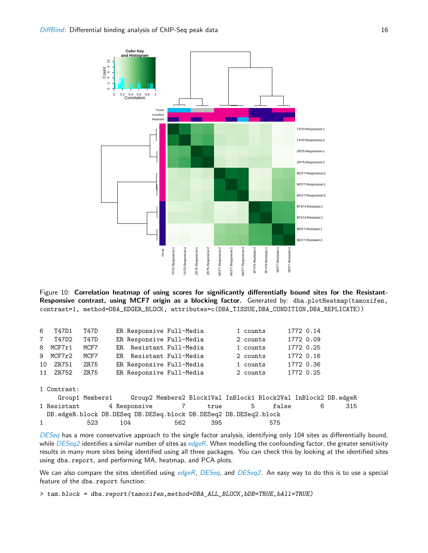

<span id="page-15-0"></span>Figure 10: Correlation heatmap of using scores for significantly differentially bound sites for the Resistant-Responsive contrast, using MCF7 origin as a blocking factor. Generated by: dba.plotHeatmap(tamoxifen, contrast=1, method=DBA\_EDGER\_BLOCK, attributes=c(DBA\_TISSUE,DBA\_CONDITION,DBA\_REPLICATE))

| 6              | T47D1       | T47D            | ER Responsive Full-Media |     |                                                                  | 1 counts |       | 1772 0.14 |     |
|----------------|-------------|-----------------|--------------------------|-----|------------------------------------------------------------------|----------|-------|-----------|-----|
| $7\phantom{.}$ | T47D2       | T47D            | ER Responsive Full-Media |     |                                                                  | 2 counts |       | 1772 0.09 |     |
|                | 8 MCF7r1    | MCF7            | ER Resistant Full-Media  |     |                                                                  | 1 counts |       | 1772 0.25 |     |
|                | 9 MCF7r2    | MCF7            | ER Resistant Full-Media  |     |                                                                  | 2 counts |       | 1772 0.16 |     |
|                | 10 ZR751    | ZR75            | ER Responsive Full-Media |     |                                                                  | 1 counts |       | 1772 0.36 |     |
|                | 11 ZR752    | ZR75            | ER Responsive Full-Media |     |                                                                  | 2 counts |       | 1772 0.25 |     |
|                |             |                 |                          |     |                                                                  |          |       |           |     |
|                | 1 Contrast: |                 |                          |     |                                                                  |          |       |           |     |
|                |             | Group1 Members1 |                          |     | Group2 Members2 Block1Val InBlock1 Block2Val InBlock2 DB.edgeR   |          |       |           |     |
|                | 1 Resistant |                 | 4 Responsive 7           |     | true                                                             | 5        | false | 6         | 315 |
|                |             |                 |                          |     | DB.edgeR.block DB.DESeq DB.DESeq.block DB.DESeq2 DB.DESeq2.block |          |       |           |     |
| $\mathbf{1}$   |             | 523             | 104                      | 562 | 395                                                              |          | 575   |           |     |
|                |             |                 |                          |     |                                                                  |          |       |           |     |

[DESeq](http://bioconductor.org/packages/release/bioc/html/DESeq.html) has a more conservative approach to the single factor analysis, identifying only 104 sites as differentially bound, while  $DESeq2$  identifies a similar number of sites as  $edgeR$ . When modelling the confounding factor, the greater sensitivity results in many more sites being identified using all three packages. You can check this by looking at the identified sites using dba.report, and performing MA, heatmap, and PCA plots.

We can also compare the sites identified using [edgeR](http://bioconductor.org/packages/release/bioc/html/edgeR.html), [DESeq](http://bioconductor.org/packages/release/bioc/html/DESeq.html), and [DESeq2](http://bioconductor.org/packages/release/bioc/html/DESeq2.html). An easy way to do this is to use a special feature of the dba.report function:

> tam.block = dba.report(tamoxifen,method=DBA\_ALL\_BLOCK,bDB=TRUE,bAll=TRUE)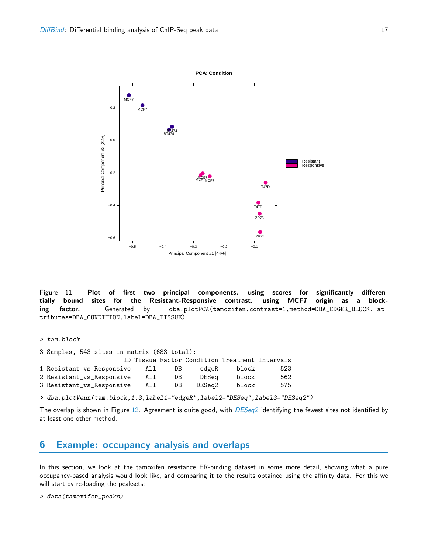

<span id="page-16-1"></span>Figure 11: Plot of first two principal components, using scores for significantly differentially bound sites for the Resistant-Responsive contrast, using MCF7 origin as a blocking factor. Generated by: dba.plotPCA(tamoxifen,contrast=1,method=DBA\_EDGER\_BLOCK, attributes=DBA\_CONDITION,label=DBA\_TISSUE)

> tam.block

| 3 Samples, 543 sites in matrix (683 total): |      |     |                                                |       |     |
|---------------------------------------------|------|-----|------------------------------------------------|-------|-----|
|                                             |      |     | ID Tissue Factor Condition Treatment Intervals |       |     |
| 1 Resistant_vs_Responsive                   | All  | DB. | edgeR                                          | block | 523 |
| 2 Resistant_vs_Responsive                   | All. | DB. | DESea                                          | block | 562 |
| 3 Resistant_vs_Responsive                   | All  | DB. | DESea2                                         | block | 575 |

> dba.plotVenn(tam.block,1:3,label1="edgeR",label2="DESeq",label3="DESeq2")

The overlap is shown in Figure [12.](#page-17-1) Agreement is quite good, with  $DESeq2$  identifying the fewest sites not identified by at least one other method.

## <span id="page-16-0"></span>6 Example: occupancy analysis and overlaps

In this section, we look at the tamoxifen resistance ER-binding dataset in some more detail, showing what a pure occupancy-based analysis would look like, and comparing it to the results obtained using the affinity data. For this we will start by re-loading the peaksets:

```
> data(tamoxifen_peaks)
```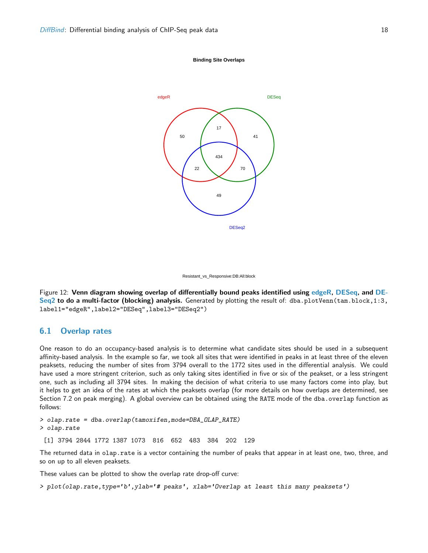





<span id="page-17-1"></span>Figure 12: Venn diagram showing overlap of differentially bound peaks identified using [edgeR,](http://bioconductor.org/packages/release/bioc/html/edgeR.html) [DESeq,](http://bioconductor.org/packages/release/bioc/html/DESeq.html) and [DE-](http://bioconductor.org/packages/release/bioc/html/DESeq2.html)[Seq2](http://bioconductor.org/packages/release/bioc/html/DESeq2.html) to do a multi-factor (blocking) analysis. Generated by plotting the result of: dba.plotVenn(tam.block,1:3, label1="edgeR",label2="DESeq",label3="DESeq2")

## <span id="page-17-0"></span>6.1 Overlap rates

One reason to do an occupancy-based analysis is to determine what candidate sites should be used in a subsequent affinity-based analysis. In the example so far, we took all sites that were identified in peaks in at least three of the eleven peaksets, reducing the number of sites from 3794 overall to the 1772 sites used in the differential analysis. We could have used a more stringent criterion, such as only taking sites identified in five or six of the peakset, or a less stringent one, such as including all 3794 sites. In making the decision of what criteria to use many factors come into play, but it helps to get an idea of the rates at which the peaksets overlap (for more details on how overlaps are determined, see Section 7.2 on peak merging). A global overview can be obtained using the RATE mode of the dba.overlap function as follows:

> olap.rate = dba.overlap(tamoxifen,mode=DBA\_OLAP\_RATE)

> olap.rate

[1] 3794 2844 1772 1387 1073 816 652 483 384 202 129

The returned data in olap.rate is a vector containing the number of peaks that appear in at least one, two, three, and so on up to all eleven peaksets.

These values can be plotted to show the overlap rate drop-off curve:

> plot(olap.rate,type='b',ylab='# peaks', xlab='Overlap at least this many peaksets')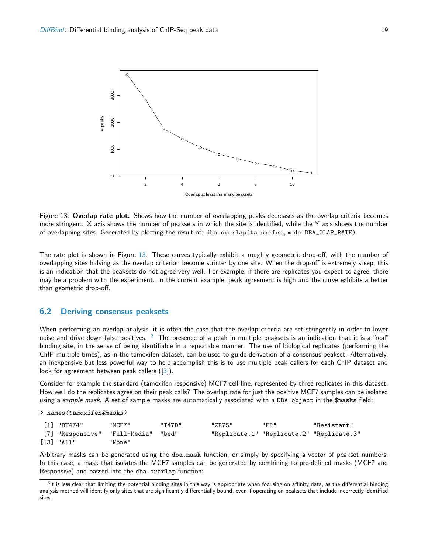

<span id="page-18-1"></span>Figure 13: Overlap rate plot. Shows how the number of overlapping peaks decreases as the overlap criteria becomes more stringent. X axis shows the number of peaksets in which the site is identified, while the Y axis shows the number of overlapping sites. Generated by plotting the result of: dba.overlap(tamoxifen,mode=DBA\_OLAP\_RATE)

The rate plot is shown in Figure [13.](#page-18-1) These curves typically exhibit a roughly geometric drop-off, with the number of overlapping sites halving as the overlap criterion become stricter by one site. When the drop-off is extremely steep, this is an indication that the peaksets do not agree very well. For example, if there are replicates you expect to agree, there may be a problem with the experiment. In the current example, peak agreement is high and the curve exhibits a better than geometric drop-off.

#### <span id="page-18-0"></span>6.2 Deriving consensus peaksets

When performing an overlap analysis, it is often the case that the overlap criteria are set stringently in order to lower noise and drive down false positives. <sup>[3](#page-18-2)</sup> The presence of a peak in multiple peaksets is an indication that it is a "real" binding site, in the sense of being identifiable in a repeatable manner. The use of biological replicates (performing the ChIP multiple times), as in the tamoxifen dataset, can be used to guide derivation of a consensus peakset. Alternatively, an inexpensive but less powerful way to help accomplish this is to use multiple peak callers for each ChIP dataset and look for agreement between peak callers ([\[3\]](#page-29-3)).

Consider for example the standard (tamoxifen responsive) MCF7 cell line, represented by three replicates in this dataset. How well do the replicates agree on their peak calls? The overlap rate for just the positive MCF7 samples can be isolated using a sample mask. A set of sample masks are automatically associated with a DBA object in the \$masks field:

> names(tamoxifen\$masks)

| [1] "BT474" | "MCF7"                              | יי מ747." | "ZR75" | "ER"                                      | "Resistant" |
|-------------|-------------------------------------|-----------|--------|-------------------------------------------|-------------|
|             | [7] "Responsive" "Full-Media" "bed" |           |        | "Replicate.1" "Replicate.2" "Replicate.3" |             |
| [13] "All"  | "None"                              |           |        |                                           |             |

Arbitrary masks can be generated using the dba.mask function, or simply by specifying a vector of peakset numbers. In this case, a mask that isolates the MCF7 samples can be generated by combining to pre-defined masks (MCF7 and Responsive) and passed into the dba.overlap function:

<span id="page-18-2"></span> $^3$ It is less clear that limiting the potential binding sites in this way is appropriate when focusing on affinity data, as the differential binding analysis method will identify only sites that are significantly differentially bound, even if operating on peaksets that include incorrectly identified sites.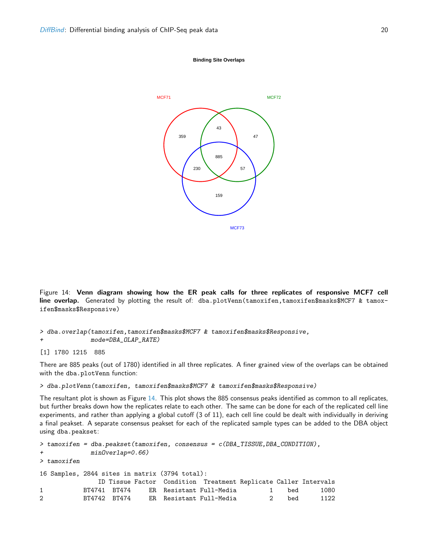



<span id="page-19-0"></span>Figure 14: Venn diagram showing how the ER peak calls for three replicates of responsive MCF7 cell line overlap. Generated by plotting the result of: dba.plotVenn(tamoxifen,tamoxifen\$masks\$MCF7 & tamoxifen\$masks\$Responsive)

```
> dba.overlap(tamoxifen,tamoxifen$masks$MCF7 & tamoxifen$masks$Responsive,
+ mode=DBA_OLAP_RATE)
```
[1] 1780 1215 885

There are 885 peaks (out of 1780) identified in all three replicates. A finer grained view of the overlaps can be obtained with the dba.plotVenn function:

> dba.plotVenn(tamoxifen, tamoxifen\$masks\$MCF7 & tamoxifen\$masks\$Responsive)

The resultant plot is shown as Figure [14.](#page-19-0) This plot shows the 885 consensus peaks identified as common to all replicates, but further breaks down how the replicates relate to each other. The same can be done for each of the replicated cell line experiments, and rather than applying a global cutoff (3 of 11), each cell line could be dealt with individually in deriving a final peakset. A separate consensus peakset for each of the replicated sample types can be added to the DBA object using dba.peakset:

```
> tamoxifen = dba.peakset(tamoxifen, consensus = c(DBA_TISSUE,DBA_CONDITION),
+ minOverlap=0.66)
> tamoxifen
16 Samples, 2844 sites in matrix (3794 total):
            ID Tissue Factor Condition Treatment Replicate Caller Intervals
1 BT4741 BT474 ER Resistant Full-Media 1 bed 1080
2 BT4742 BT474 ER Resistant Full-Media 2 bed 1122
```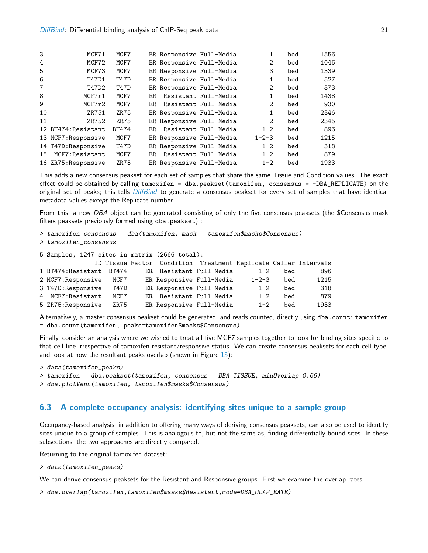| 3              | MCF71               | MCF7  | ER Responsive Full-Media |                      |                | bed | 1556 |
|----------------|---------------------|-------|--------------------------|----------------------|----------------|-----|------|
| 4              | MCF72               | MCF7  | ER Responsive Full-Media |                      | 2              | bed | 1046 |
| 5              | MCF73               | MCF7  | ER Responsive Full-Media |                      | 3              | bed | 1339 |
| 6              | T47D1               | T47D  | ER Responsive Full-Media |                      | 1              | bed | 527  |
| $\overline{7}$ | T47D2               | T47D  | ER Responsive Full-Media |                      | 2              | bed | 373  |
| 8              | MCF7r1              | MCF7  | ER.                      | Resistant Full-Media | 1              | bed | 1438 |
| 9              | MCF7r2              | MCF7  | ER.                      | Resistant Full-Media | $\mathfrak{D}$ | bed | 930  |
| 10             | ZR751               | ZR75  | ER Responsive Full-Media |                      | 1              | bed | 2346 |
| 11             | ZR752               | ZR75  | ER Responsive Full-Media |                      | $\overline{2}$ | bed | 2345 |
|                | 12 BT474: Resistant | BT474 | ER.                      | Resistant Full-Media | $1 - 2$        | bed | 896  |
|                | 13 MCF7: Responsive | MCF7  | ER Responsive Full-Media |                      | $1 - 2 - 3$    | bed | 1215 |
|                | 14 T47D: Responsive | T47D  | ER Responsive Full-Media |                      | $1 - 2$        | bed | 318  |
| 15             | MCF7: Resistant     | MCF7  | ER.                      | Resistant Full-Media | $1 - 2$        | bed | 879  |
|                | 16 ZR75: Responsive | ZR75  | ER Responsive Full-Media |                      | $1 - 2$        | bed | 1933 |
|                |                     |       |                          |                      |                |     |      |

This adds a new consensus peakset for each set of samples that share the same Tissue and Condition values. The exact effect could be obtained by calling tamoxifen = dba.peakset(tamoxifen, consensus = -DBA\_REPLICATE) on the original set of peaks; this tells [DiffBind](http://bioconductor.org/packages/release/bioc/html/DiffBind.html) to generate a consensus peakset for every set of samples that have identical metadata values except the Replicate number.

From this, a new DBA object can be generated consisting of only the five consensus peaksets (the \$Consensus mask filters peaksets previously formed using dba.peakset) :

```
> tamoxifen_consensus = dba(tamoxifen, mask = tamoxifen$masks$Consensus)
> tamoxifen_consensus
5 Samples, 1247 sites in matrix (2666 total):
            ID Tissue Factor Condition Treatment Replicate Caller Intervals
1 BT474:Resistant BT474 ER Resistant Full-Media 1-2 bed 896
2 MCF7:Responsive MCF7 ER Responsive Full-Media 1-2-3 bed 1215
3 T47D:Responsive T47D ER Responsive Full-Media 1-2 bed 318
4 MCF7:Resistant MCF7 ER Resistant Full-Media 1-2 bed 879
5 ZR75:Responsive ZR75 ER Responsive Full-Media 1-2 bed 1933
```
Alternatively, a master consensus peakset could be generated, and reads counted, directly using dba.count: tamoxifen = dba.count(tamoxifen, peaks=tamoxifen\$masks\$Consensus)

Finally, consider an analysis where we wished to treat all five MCF7 samples together to look for binding sites specific to that cell line irrespective of tamoxifen resistant/responsive status. We can create consensus peaksets for each cell type, and look at how the resultant peaks overlap (shown in Figure  $15$ ):

```
> data(tamoxifen_peaks)
> tamoxifen = dba.peakset(tamoxifen, consensus = DBA_TISSUE, minOverlap=0.66)
```

```
> dba.plotVenn(tamoxifen, tamoxifen$masks$Consensus)
```
## <span id="page-20-0"></span>6.3 A complete occupancy analysis: identifying sites unique to a sample group

Occupancy-based analysis, in addition to offering many ways of deriving consensus peaksets, can also be used to identify sites unique to a group of samples. This is analogous to, but not the same as, finding differentially bound sites. In these subsections, the two approaches are directly compared.

Returning to the original tamoxifen dataset:

```
> data(tamoxifen_peaks)
```
We can derive consensus peaksets for the Resistant and Responsive groups. First we examine the overlap rates:

```
> dba.overlap(tamoxifen,tamoxifen$masks$Resistant,mode=DBA_OLAP_RATE)
```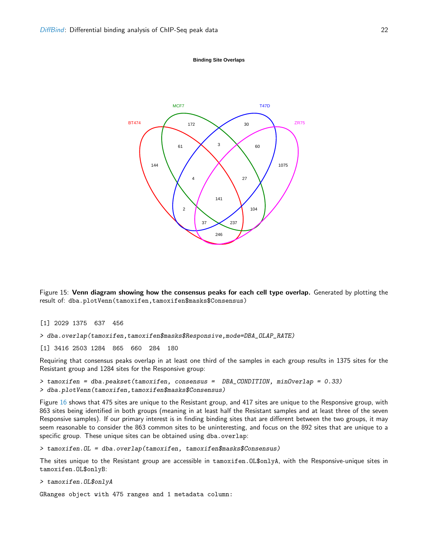**Binding Site Overlaps**



<span id="page-21-0"></span>Figure 15: Venn diagram showing how the consensus peaks for each cell type overlap. Generated by plotting the result of: dba.plotVenn(tamoxifen,tamoxifen\$masks\$Consensus)

[1] 2029 1375 637 456

> dba.overlap(tamoxifen,tamoxifen\$masks\$Responsive,mode=DBA\_OLAP\_RATE)

[1] 3416 2503 1284 865 660 284 180

Requiring that consensus peaks overlap in at least one third of the samples in each group results in 1375 sites for the Resistant group and 1284 sites for the Responsive group:

> tamoxifen = dba.peakset(tamoxifen, consensus = DBA\_CONDITION, minOverlap = 0.33) > dba.plotVenn(tamoxifen,tamoxifen\$masks\$Consensus)

Figure [16](#page-22-0) shows that 475 sites are unique to the Resistant group, and 417 sites are unique to the Responsive group, with 863 sites being identified in both groups (meaning in at least half the Resistant samples and at least three of the seven Responsive samples). If our primary interest is in finding binding sites that are different between the two groups, it may seem reasonable to consider the 863 common sites to be uninteresting, and focus on the 892 sites that are unique to a specific group. These unique sites can be obtained using dba.overlap:

> tamoxifen.OL = dba.overlap(tamoxifen, tamoxifen\$masks\$Consensus)

The sites unique to the Resistant group are accessible in tamoxifen.OL\$onlyA, with the Responsive-unique sites in tamoxifen.OL\$onlyB:

> tamoxifen.OL\$onlyA

GRanges object with 475 ranges and 1 metadata column: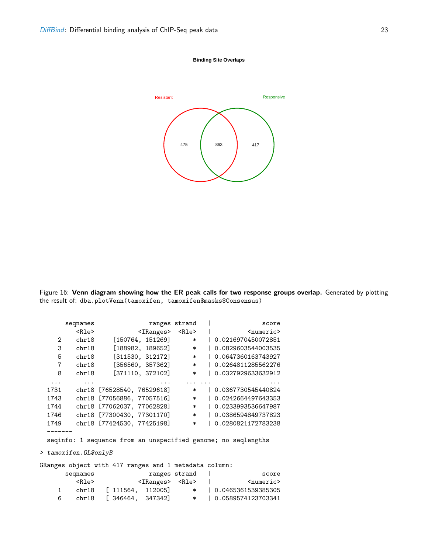

#### **Binding Site Overlaps**



<span id="page-22-0"></span>Figure 16: Venn diagram showing how the ER peak calls for two response groups overlap. Generated by plotting the result of: dba.plotVenn(tamoxifen, tamoxifen\$masks\$Consensus)

```
seqnames ranges strand | score
       <Rle> <IRanges> <Rle> | <numeric>
   2 chr18 [150764, 151269] * | 0.0216970450072851
   3 chr18 [188982, 189652] * | 0.0829603544003535
   5 chr18 [311530, 312172] * | 0.0647360163743927
   7 chr18 [356560, 357362] * | 0.0264811285562276
   8 chr18 [371110, 372102] * | 0.0327929633632912
  ... ... ... ... ... ...
 1731 chr18 [76528540, 76529618] * | 0.0367730545440824
 1743 chr18 [77056886, 77057516] * | 0.0242664497643353
 1744 chr18 [77062037, 77062828] * | 0.0233993536647987
 1746 chr18 [77300430, 77301170] * | 0.0386594849737823
 1749 chr18 [77424530, 77425198] * | 0.0280821172783238
 -------
 seqinfo: 1 sequence from an unspecified genome; no seqlengths
> tamoxifen.OL$onlyB
GRanges object with 417 ranges and 1 metadata column:
     seqnames ranges strand | score
       <Rle> <IRanges> <Rle> | <numeric>
   1 chr18 [ 111564, 112005] * | 0.0465361539385305
```
6 chr18 [ 346464, 347342] \* | 0.0589574123703341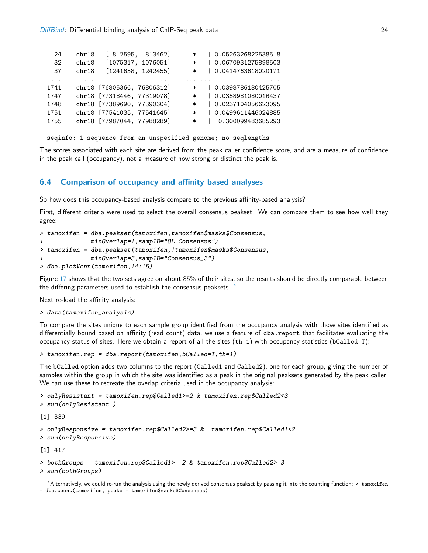| 24   | chr18 |                            | [812595, 813462]   | $\ast$ | 0.0526326822538518                                            |
|------|-------|----------------------------|--------------------|--------|---------------------------------------------------------------|
| 32   | chr18 |                            | [1075317, 1076051] | $\ast$ | 0.0670931275898503                                            |
| 37   | chr18 |                            | [1241658, 1242455] | $\ast$ | 0.0414763618020171                                            |
| .    |       |                            |                    |        |                                                               |
| 1741 |       | chr18 [76805366, 76806312] |                    | $\ast$ | 0.0398786180425705                                            |
| 1747 |       | chr18 [77318446, 77319078] |                    | $\ast$ | 0.0358981080016437                                            |
| 1748 |       | chr18 [77389690, 77390304] |                    | $\ast$ | 0.0237104056623095                                            |
| 1751 |       | chr18 [77541035, 77541645] |                    | $\ast$ | 0.0499611446024885                                            |
| 1755 |       | chr18 [77987044, 77988289] |                    | $\ast$ | 0.300099483685293                                             |
|      |       |                            |                    |        |                                                               |
|      |       |                            |                    |        | seginfo: 1 sequence from an unspecified genome; no seglengths |

The scores associated with each site are derived from the peak caller confidence score, and are a measure of confidence in the peak call (occupancy), not a measure of how strong or distinct the peak is.

#### <span id="page-23-0"></span>6.4 Comparison of occupancy and affinity based analyses

So how does this occupancy-based analysis compare to the previous affinity-based analysis?

First, different criteria were used to select the overall consensus peakset. We can compare them to see how well they agree:

```
> tamoxifen = dba.peakset(tamoxifen,tamoxifen$masks$Consensus,
+ minOverlap=1,sampID="OL Consensus")
> tamoxifen = dba.peakset(tamoxifen,!tamoxifen$masks$Consensus,
+ minOverlap=3,sampID="Consensus_3")
> dba.plotVenn(tamoxifen,14:15)
```
Figure [17](#page-24-0) shows that the two sets agree on about 85% of their sites, so the results should be directly comparable between the differing parameters used to establish the consensus peaksets. [4](#page-23-1)

Next re-load the affinity analysis:

```
> data(tamoxifen_analysis)
```
To compare the sites unique to each sample group identified from the occupancy analysis with those sites identified as differentially bound based on affinity (read count) data, we use a feature of dba.report that facilitates evaluating the occupancy status of sites. Here we obtain a report of all the sites (th=1) with occupancy statistics (bCalled=T):

> tamoxifen.rep = dba.report(tamoxifen,bCalled=T,th=1)

The bCalled option adds two columns to the report (Called1 and Called2), one for each group, giving the number of samples within the group in which the site was identified as a peak in the original peaksets generated by the peak caller. We can use these to recreate the overlap criteria used in the occupancy analysis:

```
> onlyResistant = tamoxifen.rep$Called1>=2 & tamoxifen.rep$Called2<3
> sum(onlyResistant )
[1] 339
> onlyResponsive = tamoxifen.rep$Called2>=3 & tamoxifen.rep$Called1<2
> sum(onlyResponsive)
[1] 417
> bothGroups = tamoxifen.rep$Called1>= 2 & tamoxifen.rep$Called2>=3
> sum(bothGroups)
```
<span id="page-23-1"></span> $4$ Alternatively, we could re-run the analysis using the newly derived consensus peakset by passing it into the counting function:  $>$  tamoxifen = dba.count(tamoxifen, peaks = tamoxifen\$masks\$Consensus)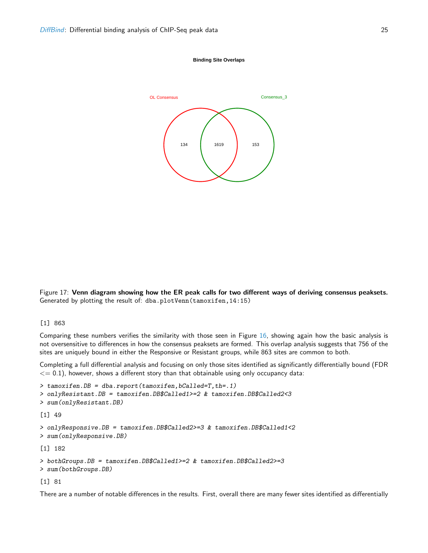#### **Binding Site Overlaps**



<span id="page-24-0"></span>Figure 17: Venn diagram showing how the ER peak calls for two different ways of deriving consensus peaksets. Generated by plotting the result of: dba.plotVenn(tamoxifen,14:15)

#### [1] 863

Comparing these numbers verifies the similarity with those seen in Figure [16,](#page-22-0) showing again how the basic analysis is not oversensitive to differences in how the consensus peaksets are formed. This overlap analysis suggests that 756 of the sites are uniquely bound in either the Responsive or Resistant groups, while 863 sites are common to both.

Completing a full differential analysis and focusing on only those sites identified as significantly differentially bound (FDR  $\epsilon$  = 0.1), however, shows a different story than that obtainable using only occupancy data:

```
> tamoxifen.DB = dba.report(tamoxifen,bCalled=T,th=.1)
> onlyResistant.DB = tamoxifen.DB$Called1>=2 & tamoxifen.DB$Called2<3
> sum(onlyResistant.DB)
[1] 49
> onlyResponsive.DB = tamoxifen.DB$Called2>=3 & tamoxifen.DB$Called1<2
> sum(onlyResponsive.DB)
[1] 182
> bothGroups.DB = tamoxifen.DB$Called1>=2 & tamoxifen.DB$Called2>=3
> sum(bothGroups.DB)
[1] 81
```
There are a number of notable differences in the results. First, overall there are many fewer sites identified as differentially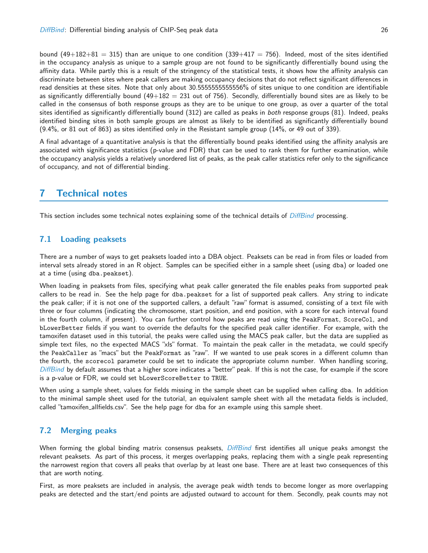bound  $(49+182+81 = 315)$  than are unique to one condition  $(339+417 = 756)$ . Indeed, most of the sites identified in the occupancy analysis as unique to a sample group are not found to be significantly differentially bound using the affinity data. While partly this is a result of the stringency of the statistical tests, it shows how the affinity analysis can discriminate between sites where peak callers are making occupancy decisions that do not reflect significant differences in read densities at these sites. Note that only about 30.5555555555556% of sites unique to one condition are identifiable as significantly differentially bound  $(49+182 = 231$  out of 756). Secondly, differentially bound sites are as likely to be called in the consensus of both response groups as they are to be unique to one group, as over a quarter of the total sites identified as significantly differentially bound (312) are called as peaks in both response groups (81). Indeed, peaks identified binding sites in both sample groups are almost as likely to be identified as significantly differentially bound (9.4%, or 81 out of 863) as sites identified only in the Resistant sample group (14%, or 49 out of 339).

A final advantage of a quantitative analysis is that the differentially bound peaks identified using the affinity analysis are associated with significance statistics (p-value and FDR) that can be used to rank them for further examination, while the occupancy analysis yields a relatively unordered list of peaks, as the peak caller statistics refer only to the significance of occupancy, and not of differential binding.

## <span id="page-25-0"></span>7 Technical notes

This section includes some technical notes explaining some of the technical details of [DiffBind](http://bioconductor.org/packages/release/bioc/html/DiffBind.html) processing.

### <span id="page-25-1"></span>7.1 Loading peaksets

There are a number of ways to get peaksets loaded into a DBA object. Peaksets can be read in from files or loaded from interval sets already stored in an R object. Samples can be specified either in a sample sheet (using dba) or loaded one at a time (using dba.peakset).

When loading in peaksets from files, specifying what peak caller generated the file enables peaks from supported peak callers to be read in. See the help page for dba.peakset for a list of supported peak callers. Any string to indicate the peak caller; if it is not one of the supported callers, a default "raw" format is assumed, consisting of a text file with three or four columns (indicating the chromosome, start position, and end position, with a score for each interval found in the fourth column, if present). You can further control how peaks are read using the PeakFormat, ScoreCol, and bLowerBetter fields if you want to override the defaults for the specified peak caller identifier. For example, with the tamoxifen dataset used in this tutorial, the peaks were called using the MACS peak caller, but the data are supplied as simple text files, no the expected MACS "xls" format. To maintain the peak caller in the metadata, we could specify the PeakCaller as "macs" but the PeakFormat as "raw". If we wanted to use peak scores in a different column than the fourth, the scorecol parameter could be set to indicate the appropriate column number. When handling scoring, [DiffBind](http://bioconductor.org/packages/release/bioc/html/DiffBind.html) by default assumes that a higher score indicates a "better" peak. If this is not the case, for example if the score is a p-value or FDR, we could set bLowerScoreBetter to TRUE.

When using a sample sheet, values for fields missing in the sample sheet can be supplied when calling dba. In addition to the minimal sample sheet used for the tutorial, an equivalent sample sheet with all the metadata fields is included, called "tamoxifen allfields.csv". See the help page for dba for an example using this sample sheet.

## <span id="page-25-2"></span>7.2 Merging peaks

When forming the global binding matrix consensus peaksets, [DiffBind](http://bioconductor.org/packages/release/bioc/html/DiffBind.html) first identifies all unique peaks amongst the relevant peaksets. As part of this process, it merges overlapping peaks, replacing them with a single peak representing the narrowest region that covers all peaks that overlap by at least one base. There are at least two consequences of this that are worth noting.

First, as more peaksets are included in analysis, the average peak width tends to become longer as more overlapping peaks are detected and the start/end points are adjusted outward to account for them. Secondly, peak counts may not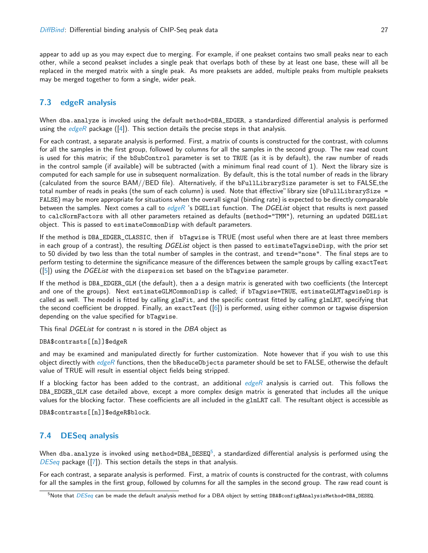appear to add up as you may expect due to merging. For example, if one peakset contains two small peaks near to each other, while a second peakset includes a single peak that overlaps both of these by at least one base, these will all be replaced in the merged matrix with a single peak. As more peaksets are added, multiple peaks from multiple peaksets may be merged together to form a single, wider peak.

### <span id="page-26-0"></span>7.3 [edgeR](http://bioconductor.org/packages/release/bioc/html/edgeR.html) analysis

When dba.analyze is invoked using the default method=DBA\_EDGER, a standardized differential analysis is performed using the [edgeR](http://bioconductor.org/packages/release/bioc/html/edgeR.html) package  $([4])$  $([4])$  $([4])$ . This section details the precise steps in that analysis.

For each contrast, a separate analysis is performed. First, a matrix of counts is constructed for the contrast, with columns for all the samples in the first group, followed by columns for all the samples in the second group. The raw read count is used for this matrix; if the bSubControl parameter is set to TRUE (as it is by default), the raw number of reads in the control sample (if available) will be subtracted (with a minimum final read count of 1). Next the library size is computed for each sample for use in subsequent normalization. By default, this is the total number of reads in the library (calculated from the source BAM//BED file). Alternatively, if the bFullLibrarySize parameter is set to FALSE,the total number of reads in peaks (the sum of each column) is used. Note that effective" library size (bFullLibrarySize = FALSE) may be more appropriate for situations when the overall signal (binding rate) is expected to be directly comparable between the samples. Next comes a call to  $edge R$  's DGEList function. The DGEList object that results is next passed to calcNormFactors with all other parameters retained as defaults (method="TMM"), returning an updated DGEList object. This is passed to estimateCommonDisp with default parameters.

If the method is DBA\_EDGER\_CLASSIC, then if bTagwise is TRUE (most useful when there are at least three members in each group of a contrast), the resulting DGEList object is then passed to estimateTagwiseDisp, with the prior set to 50 divided by two less than the total number of samples in the contrast, and trend="none". The final steps are to perform testing to determine the significance measure of the differences between the sample groups by calling exactTest  $([5])$  $([5])$  $([5])$  using the *DGEList* with the dispersion set based on the bTagwise parameter.

If the method is DBA\_EDGER\_GLM (the default), then a a design matrix is generated with two coefficients (the Intercept and one of the groups). Next estimateGLMCommonDisp is called; if bTagwise=TRUE, estimateGLMTagwiseDisp is called as well. The model is fitted by calling glmFit, and the specific contrast fitted by calling glmLRT, specifying that the second coefficient be dropped. Finally, an exactTest ([\[6\]](#page-29-6)) is performed, using either common or tagwise dispersion depending on the value specified for bTagwise.

This final DGEList for contrast n is stored in the DBA object as

DBA\$contrasts[[n]]\$edgeR

and may be examined and manipulated directly for further customization. Note however that if you wish to use this object directly with [edgeR](http://bioconductor.org/packages/release/bioc/html/edgeR.html) functions, then the bReduceObjects parameter should be set to FALSE, otherwise the default value of TRUE will result in essential object fields being stripped.

If a blocking factor has been added to the contrast, an additional  $edge$  analysis is carried out. This follows the DBA\_EDGER\_GLM case detailed above, except a more complex design matrix is generated that includes all the unique values for the blocking factor. These coefficients are all included in the glmLRT call. The resultant object is accessible as

DBA\$contrasts[[n]]\$edgeR\$block.

## <span id="page-26-1"></span>7.4 [DESeq](http://bioconductor.org/packages/release/bioc/html/DESeq.html) analysis

When dba.analyze is invoked using method=DBA\_DESEQ $^5$  $^5$ , a standardized differential analysis is performed using the [DESeq](http://bioconductor.org/packages/release/bioc/html/DESeq.html) package ([\[7\]](#page-29-7)). This section details the steps in that analysis.

For each contrast, a separate analysis is performed. First, a matrix of counts is constructed for the contrast, with columns for all the samples in the first group, followed by columns for all the samples in the second group. The raw read count is

<span id="page-26-2"></span> $5$ Note that  $DESeq$  can be made the default analysis method for a DBA object by setting DBA\$config\$AnalysisMethod=DBA\_DESEQ.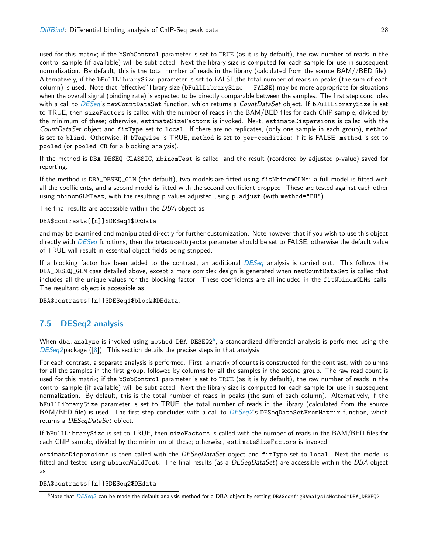used for this matrix; if the bSubControl parameter is set to TRUE (as it is by default), the raw number of reads in the control sample (if available) will be subtracted. Next the library size is computed for each sample for use in subsequent normalization. By default, this is the total number of reads in the library (calculated from the source BAM//BED file). Alternatively, if the bFullLibrarySize parameter is set to FALSE,the total number of reads in peaks (the sum of each column) is used. Note that "effective"library size (bFullLibrarySize = FALSE) may be more appropriate for situations when the overall signal (binding rate) is expected to be directly comparable between the samples. The first step concludes with a call to [DESeq](http://bioconductor.org/packages/release/bioc/html/DESeq.html)'s newCountDataSet function, which returns a CountDataSet object. If bFullLibrarySize is set to TRUE, then sizeFactors is called with the number of reads in the BAM/BED files for each ChIP sample, divided by the minimum of these; otherwise, estimateSizeFactors is invoked. Next, estimateDispersions is called with the CountDataSet object and fitType set to local. If there are no replicates, (only one sample in each group), method is set to blind. Otherwise, if bTagwise is TRUE, method is set to per-condition; if it is FALSE, method is set to pooled (or pooled-CR for a blocking analysis).

If the method is DBA\_DESEQ\_CLASSIC, nbinomTest is called, and the result (reordered by adjusted p-value) saved for reporting.

If the method is DBA\_DESEQ\_GLM (the default), two models are fitted using fitNbinomGLMs: a full model is fitted with all the coefficients, and a second model is fitted with the second coefficient dropped. These are tested against each other using nbinomGLMTest, with the resulting p values adjusted using p.adjust (with method="BH").

The final results are accessible within the DBA object as

#### DBA\$contrasts[[n]]\$DESeq1\$DEdata

and may be examined and manipulated directly for further customization. Note however that if you wish to use this object directly with [DESeq](http://bioconductor.org/packages/release/bioc/html/DESeq.html) functions, then the bReduceObjects parameter should be set to FALSE, otherwise the default value of TRUE will result in essential object fields being stripped.

If a blocking factor has been added to the contrast, an additional [DESeq](http://bioconductor.org/packages/release/bioc/html/DESeq.html) analysis is carried out. This follows the DBA\_DESEQ\_GLM case detailed above, except a more complex design is generated when newCountDataSet is called that includes all the unique values for the blocking factor. These coefficients are all included in the fitNbinomGLMs calls. The resultant object is accessible as

DBA\$contrasts[[n]]\$DESeq1\$block\$DEdata.

## <span id="page-27-0"></span>7.5 [DESeq2](http://bioconductor.org/packages/release/bioc/html/DESeq2.html) analysis

When dba.analyze is invoked using method=DBA\_DESEQ2 $^6$  $^6$ , a standardized differential analysis is performed using the  $DESeq2$  package ([\[8\]](#page-29-8)). This section details the precise steps in that analysis.

For each contrast, a separate analysis is performed. First, a matrix of counts is constructed for the contrast, with columns for all the samples in the first group, followed by columns for all the samples in the second group. The raw read count is used for this matrix; if the bSubControl parameter is set to TRUE (as it is by default), the raw number of reads in the control sample (if available) will be subtracted. Next the library size is computed for each sample for use in subsequent normalization. By default, this is the total number of reads in peaks (the sum of each column). Alternatively, if the bFullLibrarySize parameter is set to TRUE, the total number of reads in the library (calculated from the source BAM/BED file) is used. The first step concludes with a call to  $DESeq2$ 's DESeqDataSetFromMatrix function, which returns a DESeqDataSet object.

If bFullLibrarySize is set to TRUE, then sizeFactors is called with the number of reads in the BAM/BED files for each ChIP sample, divided by the minimum of these; otherwise, estimateSizeFactors is invoked.

estimateDispersions is then called with the DESeqDataSet object and fitType set to local. Next the model is fitted and tested using nbinomWaldTest. The final results (as a DESeqDataSet) are accessible within the DBA object as

DBA\$contrasts[[n]]\$DESeq2\$DEdata

<span id="page-27-1"></span> $6$ Note that  $DESeq2$  can be made the default analysis method for a DBA object by setting DBA\$config\$AnalysisMethod=DBA\_DESEQ2.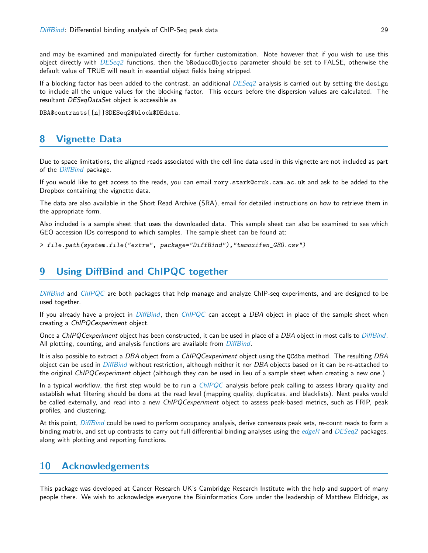and may be examined and manipulated directly for further customization. Note however that if you wish to use this object directly with [DESeq2](http://bioconductor.org/packages/release/bioc/html/DESeq2.html) functions, then the bReduceObjects parameter should be set to FALSE, otherwise the default value of TRUE will result in essential object fields being stripped.

If a blocking factor has been added to the contrast, an additional  $DESeq2$  analysis is carried out by setting the design to include all the unique values for the blocking factor. This occurs before the dispersion values are calculated. The resultant DESeqDataSet object is accessible as

DBA\$contrasts[[n]]\$DESeq2\$block\$DEdata.

## <span id="page-28-0"></span>8 Vignette Data

Due to space limitations, the aligned reads associated with the cell line data used in this vignette are not included as part of the *[DiffBind](http://bioconductor.org/packages/release/bioc/html/DiffBind.html)* package.

If you would like to get access to the reads, you can email rory.stark@cruk.cam.ac.uk and ask to be added to the Dropbox containing the vignette data.

The data are also available in the Short Read Archive (SRA), email for detailed instructions on how to retrieve them in the appropriate form.

Also included is a sample sheet that uses the downloaded data. This sample sheet can also be examined to see which GEO accession IDs correspond to which samples. The sample sheet can be found at:

> file.path(system.file("extra", package="DiffBind"),"tamoxifen\_GEO.csv")

## <span id="page-28-1"></span>9 Using [DiffBind](http://bioconductor.org/packages/release/bioc/html/DiffBind.html) and [ChIPQC](http://bioconductor.org/packages/release/bioc/html/ChIPQC.html) together

[DiffBind](http://bioconductor.org/packages/release/bioc/html/DiffBind.html) and [ChIPQC](http://bioconductor.org/packages/release/bioc/html/ChIPQC.html) are both packages that help manage and analyze ChIP-seq experiments, and are designed to be used together.

If you already have a project in [DiffBind](http://bioconductor.org/packages/release/bioc/html/DiffBind.html), then [ChIPQC](http://bioconductor.org/packages/release/bioc/html/ChIPQC.html) can accept a DBA object in place of the sample sheet when creating a ChIPQCexperiment object.

Once a ChIPQCexperiment object has been constructed, it can be used in place of a DBA object in most calls to [DiffBind](http://bioconductor.org/packages/release/bioc/html/DiffBind.html). All plotting, counting, and analysis functions are available from *[DiffBind](http://bioconductor.org/packages/release/bioc/html/DiffBind.html)*.

It is also possible to extract a DBA object from a ChIPQCexperiment object using the QCdba method. The resulting DBA object can be used in [DiffBind](http://bioconductor.org/packages/release/bioc/html/DiffBind.html) without restriction, although neither it nor DBA objects based on it can be re-attached to the original ChIPQCexperiment object (although they can be used in lieu of a sample sheet when creating a new one.)

In a typical workflow, the first step would be to run a  $ChIPQC$  analysis before peak calling to assess library quality and establish what filtering should be done at the read level (mapping quality, duplicates, and blacklists). Next peaks would be called externally, and read into a new ChIPQCexperiment object to assess peak-based metrics, such as FRIP, peak profiles, and clustering.

At this point, [DiffBind](http://bioconductor.org/packages/release/bioc/html/DiffBind.html) could be used to perform occupancy analysis, derive consensus peak sets, re-count reads to form a binding matrix, and set up contrasts to carry out full differential binding analyses using the [edgeR](http://bioconductor.org/packages/release/bioc/html/edgeR.html) and  $DESeq2$  packages, along with plotting and reporting functions.

## <span id="page-28-2"></span>10 Acknowledgements

This package was developed at Cancer Research UK's Cambridge Research Institute with the help and support of many people there. We wish to acknowledge everyone the Bioinformatics Core under the leadership of Matthew Eldridge, as